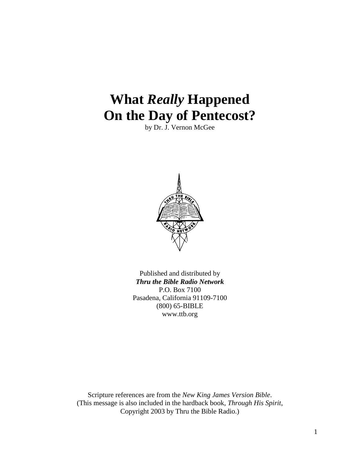# **What** *Really* **Happened On the Day of Pentecost?**

by Dr. J. Vernon McGee



Published and distributed by *Thru the Bible Radio Network* P.O. Box 7100 Pasadena, California 91109-7100 (800) 65-BIBLE www.ttb.org

Scripture references are from the *New King James Version Bible*. (This message is also included in the hardback book, *Through His Spirit*, Copyright 2003 by Thru the Bible Radio.)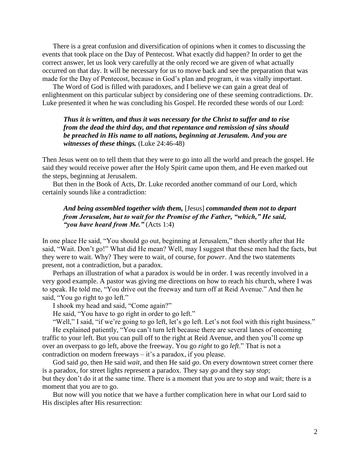There is a great confusion and diversification of opinions when it comes to discussing the events that took place on the Day of Pentecost. What exactly did happen? In order to get the correct answer, let us look very carefully at the only record we are given of what actually occurred on that day. It will be necessary for us to move back and see the preparation that was made for the Day of Pentecost, because in God"s plan and program, it was vitally important.

The Word of God is filled with paradoxes, and I believe we can gain a great deal of enlightenment on this particular subject by considering one of these seeming contradictions. Dr. Luke presented it when he was concluding his Gospel. He recorded these words of our Lord:

*Thus it is written, and thus it was necessary for the Christ to suffer and to rise from the dead the third day, and that repentance and remission of sins should be preached in His name to all nations, beginning at Jerusalem. And you are witnesses of these things.* (Luke 24:46-48)

Then Jesus went on to tell them that they were to go into all the world and preach the gospel. He said they would receive power after the Holy Spirit came upon them, and He even marked out the steps, beginning at Jerusalem.

But then in the Book of Acts, Dr. Luke recorded another command of our Lord, which certainly sounds like a contradiction:

# *And being assembled together with them,* [Jesus] *commanded them not to depart from Jerusalem, but to wait for the Promise of the Father, "which," He said, "you have heard from Me."* (Acts 1:4)

In one place He said, "You should go out, beginning at Jerusalem," then shortly after that He said, "Wait. Don't go!" What did He mean? Well, may I suggest that these men had the facts, but they were to wait. Why? They were to wait, of course, for *power*. And the two statements present, not a contradiction, but a paradox.

Perhaps an illustration of what a paradox is would be in order. I was recently involved in a very good example. A pastor was giving me directions on how to reach his church, where I was to speak. He told me, "You drive out the freeway and turn off at Reid Avenue." And then he said, "You go right to go left."

I shook my head and said, "Come again?"

He said, "You have to go right in order to go left."

"Well," I said, "if we're going to go left, let's go left. Let's not fool with this right business."

He explained patiently, "You can't turn left because there are several lanes of oncoming traffic to your left. But you can pull off to the right at Reid Avenue, and then you"ll come up over an overpass to go left, above the freeway. You go *right* to go *left*." That is not a contradiction on modern freeways  $-$  it's a paradox, if you please.

God said *go*, then He said *wait*, and then He said *go*. On every downtown street corner there is a paradox, for street lights represent a paradox. They say *go* and they say *stop*; but they don"t do it at the same time. There is a moment that you are to stop and wait; there is a moment that you are to go.

But now will you notice that we have a further complication here in what our Lord said to His disciples after His resurrection: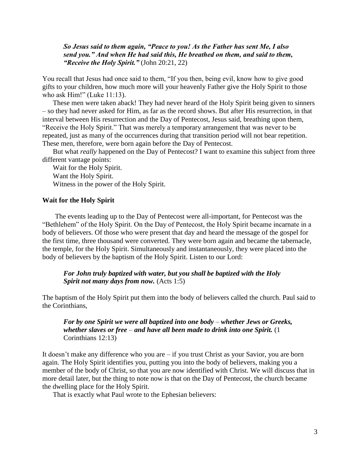*So Jesus said to them again, "Peace to you! As the Father has sent Me, I also send you." And when He had said this, He breathed on them, and said to them, "Receive the Holy Spirit."* (John 20:21, 22)

You recall that Jesus had once said to them, "If you then, being evil, know how to give good gifts to your children, how much more will your heavenly Father give the Holy Spirit to those who ask Him!" (Luke 11:13).

These men were taken aback! They had never heard of the Holy Spirit being given to sinners – so they had never asked for Him, as far as the record shows. But after His resurrection, in that interval between His resurrection and the Day of Pentecost, Jesus said, breathing upon them, "Receive the Holy Spirit." That was merely a temporary arrangement that was never to be repeated, just as many of the occurrences during that transition period will not bear repetition. These men, therefore, were born again before the Day of Pentecost.

But what *really* happened on the Day of Pentecost? I want to examine this subject from three different vantage points:

Wait for the Holy Spirit. Want the Holy Spirit. Witness in the power of the Holy Spirit.

#### **Wait for the Holy Spirit**

The events leading up to the Day of Pentecost were all-important, for Pentecost was the "Bethlehem" of the Holy Spirit. On the Day of Pentecost, the Holy Spirit became incarnate in a body of believers. Of those who were present that day and heard the message of the gospel for the first time, three thousand were converted. They were born again and became the tabernacle, the temple, for the Holy Spirit. Simultaneously and instantaneously, they were placed into the body of believers by the baptism of the Holy Spirit. Listen to our Lord:

# *For John truly baptized with water, but you shall be baptized with the Holy Spirit not many days from now.* (Acts 1:5)

The baptism of the Holy Spirit put them into the body of believers called the church. Paul said to the Corinthians,

# *For by one Spirit we were all baptized into one body* – *whether Jews or Greeks, whether slaves or free* – *and have all been made to drink into one Spirit.* (1 Corinthians 12:13)

It doesn"t make any difference who you are – if you trust Christ as your Savior, you are born again. The Holy Spirit identifies you, putting you into the body of believers, making you a member of the body of Christ, so that you are now identified with Christ. We will discuss that in more detail later, but the thing to note now is that on the Day of Pentecost, the church became the dwelling place for the Holy Spirit.

That is exactly what Paul wrote to the Ephesian believers: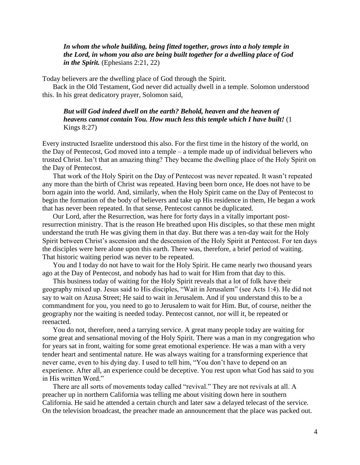## *In whom the whole building, being fitted together, grows into a holy temple in the Lord, in whom you also are being built together for a dwelling place of God in the Spirit.* (Ephesians 2:21, 22)

Today believers are the dwelling place of God through the Spirit.

Back in the Old Testament, God never did actually dwell in a temple. Solomon understood this. In his great dedicatory prayer, Solomon said,

# *But will God indeed dwell on the earth? Behold, heaven and the heaven of heavens cannot contain You. How much less this temple which I have built!* (1 Kings 8:27)

Every instructed Israelite understood this also. For the first time in the history of the world, on the Day of Pentecost, God moved into a temple – a temple made up of individual believers who trusted Christ. Isn"t that an amazing thing? They became the dwelling place of the Holy Spirit on the Day of Pentecost.

That work of the Holy Spirit on the Day of Pentecost was never repeated. It wasn"t repeated any more than the birth of Christ was repeated. Having been born once, He does not have to be born again into the world. And, similarly, when the Holy Spirit came on the Day of Pentecost to begin the formation of the body of believers and take up His residence in them, He began a work that has never been repeated. In that sense, Pentecost cannot be duplicated.

Our Lord, after the Resurrection, was here for forty days in a vitally important postresurrection ministry. That is the reason He breathed upon His disciples, so that these men might understand the truth He was giving them in that day. But there was a ten-day wait for the Holy Spirit between Christ"s ascension and the descension of the Holy Spirit at Pentecost. For ten days the disciples were here alone upon this earth. There was, therefore, a brief period of waiting. That historic waiting period was never to be repeated.

You and I today do not have to wait for the Holy Spirit. He came nearly two thousand years ago at the Day of Pentecost, and nobody has had to wait for Him from that day to this.

This business today of waiting for the Holy Spirit reveals that a lot of folk have their geography mixed up. Jesus said to His disciples, "Wait in Jerusalem" (see Acts 1:4). He did not say to wait on Azusa Street; He said to wait in Jerusalem. And if you understand this to be a commandment for you, you need to go to Jerusalem to wait for Him. But, of course, neither the geography nor the waiting is needed today. Pentecost cannot, nor will it, be repeated or reenacted.

You do not, therefore, need a tarrying service. A great many people today are waiting for some great and sensational moving of the Holy Spirit. There was a man in my congregation who for years sat in front, waiting for some great emotional experience. He was a man with a very tender heart and sentimental nature. He was always waiting for a transforming experience that never came, even to his dying day. I used to tell him, "You don"t have to depend on an experience. After all, an experience could be deceptive. You rest upon what God has said to you in His written Word."

There are all sorts of movements today called "revival." They are not revivals at all. A preacher up in northern California was telling me about visiting down here in southern California. He said he attended a certain church and later saw a delayed telecast of the service. On the television broadcast, the preacher made an announcement that the place was packed out.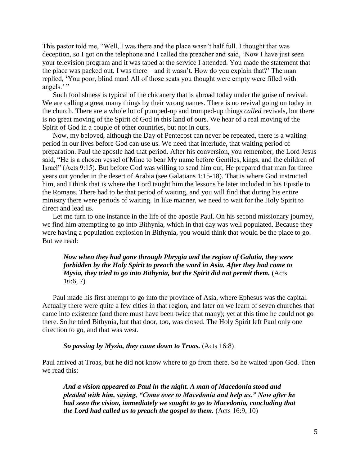This pastor told me, "Well, I was there and the place wasn"t half full. I thought that was deception, so I got on the telephone and I called the preacher and said, "Now I have just seen your television program and it was taped at the service I attended. You made the statement that the place was packed out. I was there – and it wasn"t. How do you explain that?" The man replied, "You poor, blind man! All of those seats you thought were empty were filled with angels."

Such foolishness is typical of the chicanery that is abroad today under the guise of revival. We are calling a great many things by their wrong names. There is no revival going on today in the church. There are a whole lot of pumped-up and trumped-up things *called* revivals, but there is no great moving of the Spirit of God in this land of ours. We hear of a real moving of the Spirit of God in a couple of other countries, but not in ours.

Now, my beloved, although the Day of Pentecost can never be repeated, there is a waiting period in our lives before God can use us. We need that interlude, that waiting period of preparation. Paul the apostle had that period. After his conversion, you remember, the Lord Jesus said, "He is a chosen vessel of Mine to bear My name before Gentiles, kings, and the children of Israel" (Acts 9:15). But before God was willing to send him out, He prepared that man for three years out yonder in the desert of Arabia (see Galatians 1:15-18). That is where God instructed him, and I think that is where the Lord taught him the lessons he later included in his Epistle to the Romans. There had to be that period of waiting, and you will find that during his entire ministry there were periods of waiting. In like manner, we need to wait for the Holy Spirit to direct and lead us.

Let me turn to one instance in the life of the apostle Paul. On his second missionary journey, we find him attempting to go into Bithynia, which in that day was well populated. Because they were having a population explosion in Bithynia, you would think that would be the place to go. But we read:

*Now when they had gone through Phrygia and the region of Galatia, they were forbidden by the Holy Spirit to preach the word in Asia. After they had come to Mysia, they tried to go into Bithynia, but the Spirit did not permit them.* (Acts 16:6, 7)

Paul made his first attempt to go into the province of Asia, where Ephesus was the capital. Actually there were quite a few cities in that region, and later on we learn of seven churches that came into existence (and there must have been twice that many); yet at this time he could not go there. So he tried Bithynia, but that door, too, was closed. The Holy Spirit left Paul only one direction to go, and that was west.

#### *So passing by Mysia, they came down to Troas.* (Acts 16:8)

Paul arrived at Troas, but he did not know where to go from there. So he waited upon God. Then we read this:

*And a vision appeared to Paul in the night. A man of Macedonia stood and pleaded with him, saying, "Come over to Macedonia and help us." Now after he had seen the vision, immediately we sought to go to Macedonia, concluding that the Lord had called us to preach the gospel to them.* (Acts 16:9, 10)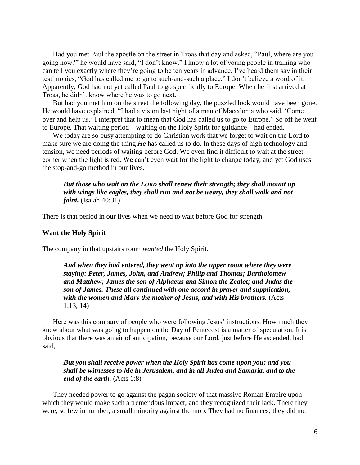Had you met Paul the apostle on the street in Troas that day and asked, "Paul, where are you going now?" he would have said, "I don"t know." I know a lot of young people in training who can tell you exactly where they"re going to be ten years in advance. I"ve heard them say in their testimonies, "God has called me to go to such-and-such a place." I don"t believe a word of it. Apparently, God had not yet called Paul to go specifically to Europe. When he first arrived at Troas, he didn"t know where he was to go next.

But had you met him on the street the following day, the puzzled look would have been gone. He would have explained, "I had a vision last night of a man of Macedonia who said, "Come over and help us." I interpret that to mean that God has called us to go to Europe." So off he went to Europe. That waiting period – waiting on the Holy Spirit for guidance – had ended.

We today are so busy attempting to do Christian work that we forget to wait on the Lord to make sure we are doing the thing *He* has called us to do. In these days of high technology and tension, we need periods of waiting before God. We even find it difficult to wait at the street corner when the light is red. We can"t even wait for the light to change today, and yet God uses the stop-and-go method in our lives.

## *But those who wait on the LORD shall renew their strength; they shall mount up with wings like eagles, they shall run and not be weary, they shall walk and not faint.* (Isaiah 40:31)

There is that period in our lives when we need to wait before God for strength.

#### **Want the Holy Spirit**

The company in that upstairs room *wanted* the Holy Spirit.

*And when they had entered, they went up into the upper room where they were staying: Peter, James, John, and Andrew; Philip and Thomas; Bartholomew and Matthew; James the son of Alphaeus and Simon the Zealot; and Judas the son of James. These all continued with one accord in prayer and supplication, with the women and Mary the mother of Jesus, and with His brothers.* (Acts 1:13, 14)

Here was this company of people who were following Jesus' instructions. How much they knew about what was going to happen on the Day of Pentecost is a matter of speculation. It is obvious that there was an air of anticipation, because our Lord, just before He ascended, had said,

# *But you shall receive power when the Holy Spirit has come upon you; and you shall be witnesses to Me in Jerusalem, and in all Judea and Samaria, and to the end of the earth.* (Acts 1:8)

They needed power to go against the pagan society of that massive Roman Empire upon which they would make such a tremendous impact, and they recognized their lack. There they were, so few in number, a small minority against the mob. They had no finances; they did not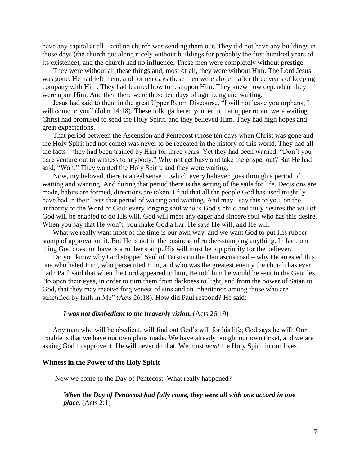have any capital at all – and no church was sending them out. They did not have any buildings in those days (the church got along nicely without buildings for probably the first hundred years of its existence), and the church had no influence. These men were completely without prestige.

They were without all these things and, most of all, they were without Him. The Lord Jesus was gone. He had left them, and for ten days these men were alone – after three years of keeping company with Him. They had learned how to rest upon Him. They knew how dependent they were upon Him. And then there were those ten days of agonizing and waiting.

Jesus had said to them in the great Upper Room Discourse, "I will not leave you orphans; I will come to you" (John 14:18). These folk, gathered yonder in that upper room, were waiting. Christ had promised to send the Holy Spirit, and they believed Him. They had high hopes and great expectations.

That period between the Ascension and Pentecost (those ten days when Christ was gone and the Holy Spirit had not come) was never to be repeated in the history of this world. They had all the facts – they had been trained by Him for three years. Yet they had been warned, "Don"t you dare venture out to witness to anybody." Why not get busy and take the gospel out? But He had said, "Wait." They wanted the Holy Spirit, and they were waiting.

Now, my beloved, there is a real sense in which every believer goes through a period of waiting and wanting. And during that period there is the setting of the sails for life. Decisions are made, habits are formed, directions are taken. I find that all the people God has used mightily have had in their lives that period of waiting and wanting. And may I say this to you, on the authority of the Word of God: every longing soul who is God"s child and truly desires the will of God will be enabled to do His will. God will meet any eager and sincere soul who has this desire. When you say that He won't, you make God a liar. He says He will, and He will.

What we really want most of the time is our own way, and we want God to put His rubber stamp of approval on it. But He is not in the business of rubber-stamping anything. In fact, one thing God does not have is a rubber stamp. His will must be top priority for the believer.

Do you know why God stopped Saul of Tarsus on the Damascus road – why He arrested this one who hated Him, who persecuted Him, and who was the greatest enemy the church has ever had? Paul said that when the Lord appeared to him, He told him he would be sent to the Gentiles "to open their eyes, in order to turn them from darkness to light, and from the power of Satan to God, that they may receive forgiveness of sins and an inheritance among those who are sanctified by faith in Me" (Acts 26:18). How did Paul respond? He said:

#### *I was not disobedient to the heavenly vision.* (Acts 26:19)

Any man who will be obedient, will find out God"s will for his life; God says he will. Our trouble is that we have our own plans made. We have already bought our own ticket, and we are asking God to approve it. He will never do that. We must *want* the Holy Spirit in our lives.

#### **Witness in the Power of the Holy Spirit**

Now we come to the Day of Pentecost. What really happened?

## *When the Day of Pentecost had fully come, they were all with one accord in one place.* (Acts 2:1)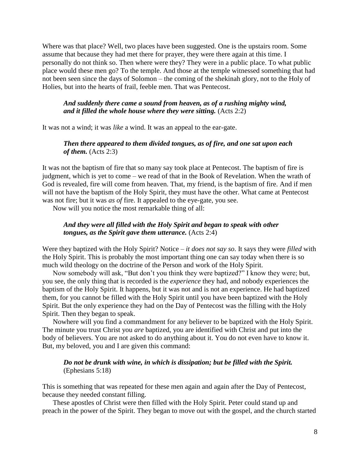Where was that place? Well, two places have been suggested. One is the upstairs room. Some assume that because they had met there for prayer, they were there again at this time. I personally do not think so. Then where were they? They were in a public place. To what public place would these men go? To the temple. And those at the temple witnessed something that had not been seen since the days of Solomon – the coming of the shekinah glory, not to the Holy of Holies, but into the hearts of frail, feeble men. That was Pentecost.

## *And suddenly there came a sound from heaven, as of a rushing mighty wind, and it filled the whole house where they were sitting.* (Acts 2:2)

It was not a wind; it was *like* a wind. It was an appeal to the ear-gate.

# *Then there appeared to them divided tongues, as of fire, and one sat upon each of them.* (Acts 2:3)

It was not the baptism of fire that so many say took place at Pentecost. The baptism of fire is judgment, which is yet to come – we read of that in the Book of Revelation. When the wrath of God is revealed, fire will come from heaven. That, my friend, is the baptism of fire. And if men will not have the baptism of the Holy Spirit, they must have the other. What came at Pentecost was not fire; but it was *as of* fire. It appealed to the eye-gate, you see.

Now will you notice the most remarkable thing of all:

## *And they were all filled with the Holy Spirit and began to speak with other tongues, as the Spirit gave them utterance.* (Acts 2:4)

Were they baptized with the Holy Spirit? Notice – *it does not say so*. It says they were *filled* with the Holy Spirit. This is probably the most important thing one can say today when there is so much wild theology on the doctrine of the Person and work of the Holy Spirit.

Now somebody will ask, "But don"t you think they were baptized?" I know they were; but, you see, the only thing that is recorded is the *experience* they had, and nobody experiences the baptism of the Holy Spirit. It happens, but it was not and is not an experience. He had baptized them, for you cannot be filled with the Holy Spirit until you have been baptized with the Holy Spirit. But the only experience they had on the Day of Pentecost was the filling with the Holy Spirit. Then they began to speak.

Nowhere will you find a commandment for any believer to be baptized with the Holy Spirit. The minute you trust Christ you *are* baptized, you are identified with Christ and put into the body of believers. You are not asked to do anything about it. You do not even have to know it. But, my beloved, you and I are given this command:

## *Do not be drunk with wine, in which is dissipation; but be filled with the Spirit.* (Ephesians 5:18)

This is something that was repeated for these men again and again after the Day of Pentecost, because they needed constant filling.

These apostles of Christ were then filled with the Holy Spirit. Peter could stand up and preach in the power of the Spirit. They began to move out with the gospel, and the church started